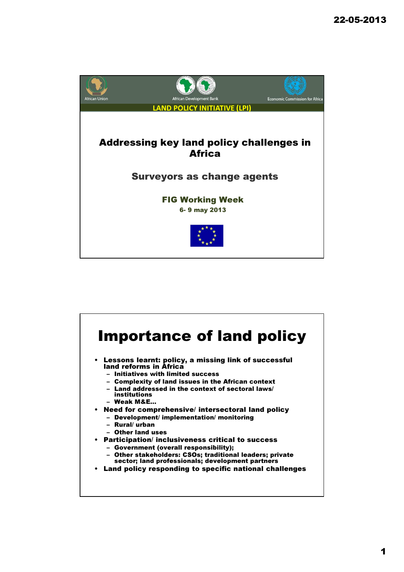

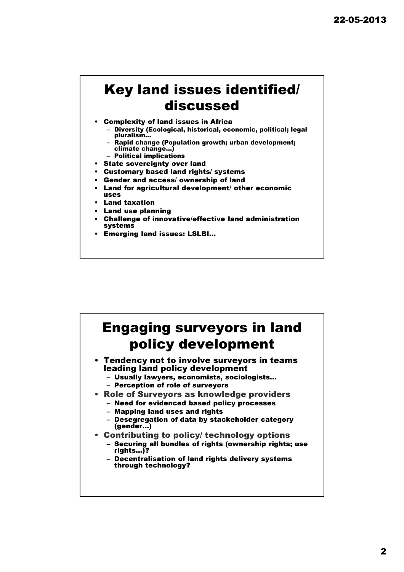#### Key land issues identified/ discussed

- Complexity of land issues in Africa
	- Diversity (Ecological, historical, economic, political; legal pluralism…
	- Rapid change (Population growth; urban development; climate change…)
	- Political implications
- State sovereignty over land
- Customary based land rights/ systems
- Gender and access/ ownership of land
- Land for agricultural development/ other economic uses
- **Land taxation**
- Land use planning
- Challenge of innovative/effective land administration systems
- Emerging land issues: LSLBI…

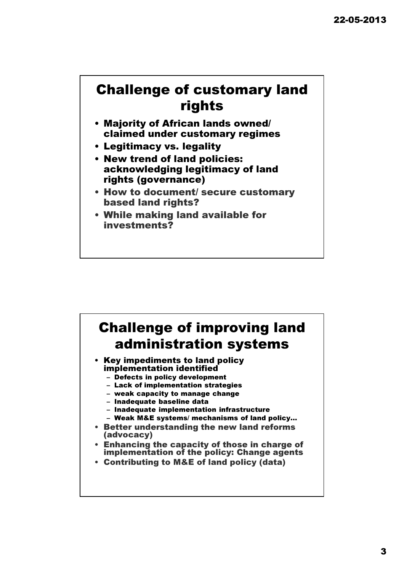#### Challenge of customary land rights

- Majority of African lands owned/ claimed under customary regimes
- Legitimacy vs. legality
- New trend of land policies: acknowledging legitimacy of land rights (governance)
- How to document/ secure customary based land rights?
- While making land available for investments?

# Challenge of improving land administration systems

- Key impediments to land policy implementation identified
	- Defects in policy development
	- Lack of implementation strategies
	- weak capacity to manage change
	- Inadequate baseline data
	- Inadequate implementation infrastructure
	- Weak M&E systems/ mechanisms of land policy…
- Better understanding the new land reforms (advocacy)
- Enhancing the capacity of those in charge of implementation of the policy: Change agents
- Contributing to M&E of land policy (data)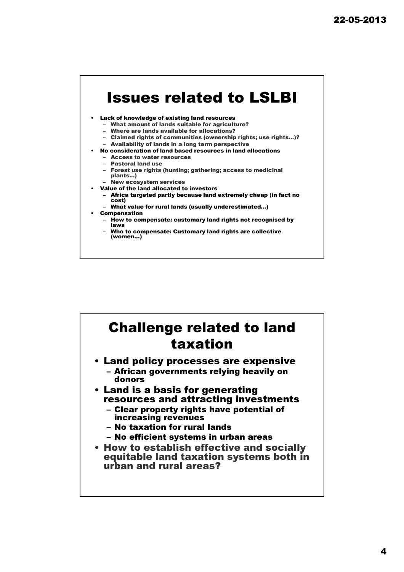### Issues related to LSLBI

#### • Lack of knowledge of existing land resources

- What amount of lands suitable for agriculture?
- Where are lands available for allocations?
- Claimed rights of communities (ownership rights; use rights…)? – Availability of lands in a long term perspective
- No consideration of land based resources in land allocations
- Access to water resources
	- Pastoral land use
- Forest use rights (hunting; gathering; access to medicinal plants…)
- New ecosystem services
- Value of the land allocated to investors
	- Africa targeted partly because land extremely cheap (in fact no cost)
	- What value for rural lands (usually underestimated…) **Compensation**
	- - How to compensate: customary land rights not recognised by laws
		- Who to compensate: Customary land rights are collective (women…)

#### Challenge related to land taxation • Land policy processes are expensive – African governments relying heavily on donors • Land is a basis for generating resources and attracting investments – Clear property rights have potential of increasing revenues – No taxation for rural lands – No efficient systems in urban areas • How to establish effective and socially equitable land taxation systems both in urban and rural areas?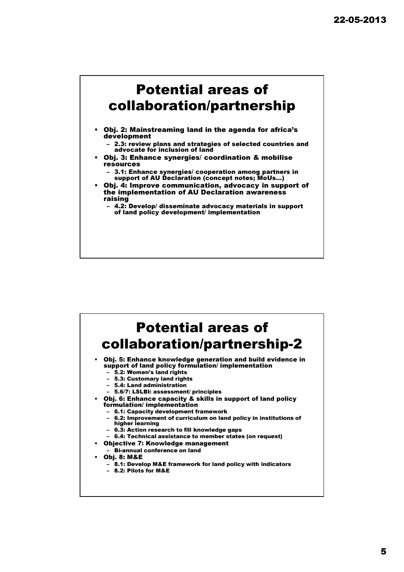

- Obj. 2: Mainstreaming land in the agenda for africa's development
	- 2.3: review plans and strategies of selected countries and advocate for inclusion of land
- Obj. 3: Enhance synergies/ coordination & mobilise resources
	- 3.1: Enhance synergies/ cooperation among partners in support of AU Declaration (concept notes; MoUs…)
- Obj. 4: Improve communication, advocacy in support of the implementation of AU Declaration awareness raising

– 4.2: Develop/ disseminate advocacy materials in support of land policy development/ implementation